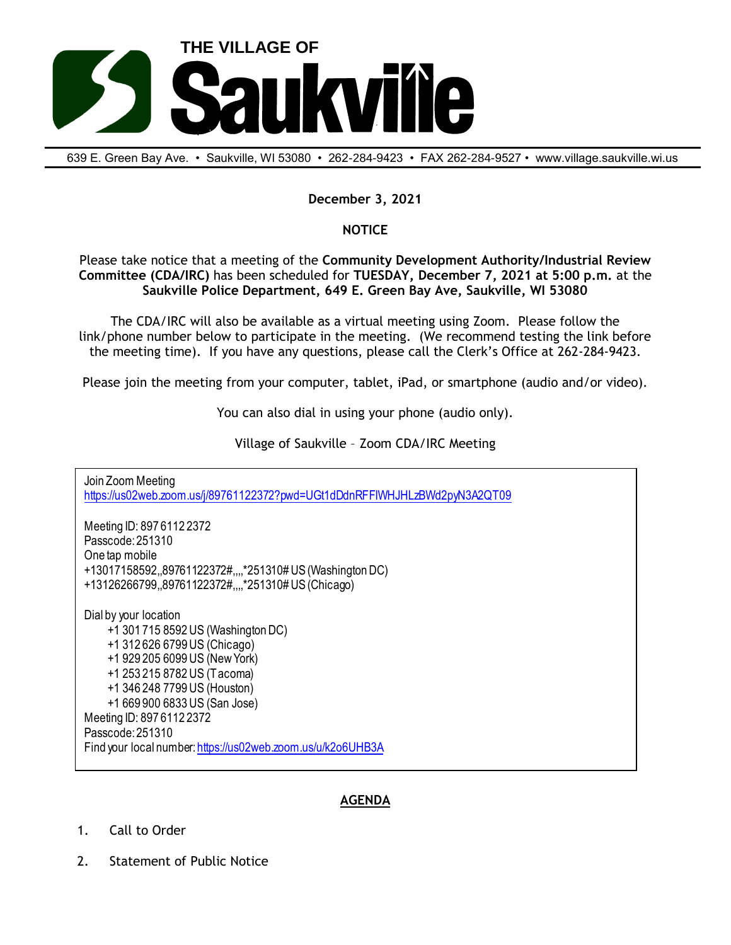

639 E. Green Bay Ave. • Saukville, Wl 53080 • 262-284-9423 • FAX 262-284-9527 • www.village.saukville.wi.us

## **December 3, 2021**

## **NOTICE**

Please take notice that a meeting of the **Community Development Authority/Industrial Review Committee (CDA/IRC)** has been scheduled for **TUESDAY, December 7, 2021 at 5:00 p.m.** at the **Saukville Police Department, 649 E. Green Bay Ave, Saukville, WI 53080**

The CDA/IRC will also be available as a virtual meeting using Zoom. Please follow the link/phone number below to participate in the meeting. (We recommend testing the link before the meeting time). If you have any questions, please call the Clerk's Office at 262-284-9423.

Please join the meeting from your computer, tablet, iPad, or smartphone (audio and/or video).

You can also dial in using your phone (audio only).

Village of Saukville – Zoom CDA/IRC Meeting

Join Zoom Meeting https://us02web.zoom.us/j/89761122372?pwd=UGt1dDdnRFFIWHJHLzBWd2pyN3A2QT09 Meeting ID: 897 6112 2372 Passcode: 251310 One tap mobile +13017158592,,89761122372#,,,,\*251310# US (Washington DC) +13126266799,,89761122372#,,,,\*251310# US (Chicago) Dial by your location +1 301 715 8592 US (Washington DC) +1 312 626 6799 US (Chicago) +1 929 205 6099 US (New York) +1 253 215 8782 US (Tacoma) +1 346 248 7799 US (Houston) +1 669 900 6833 US (San Jose) Meeting ID: 897 6112 2372 Passcode: 251310 Find your local number: https://us02web.zoom.us/u/k2o6UHB3A

## **AGENDA**

- 1. Call to Order
- 2. Statement of Public Notice